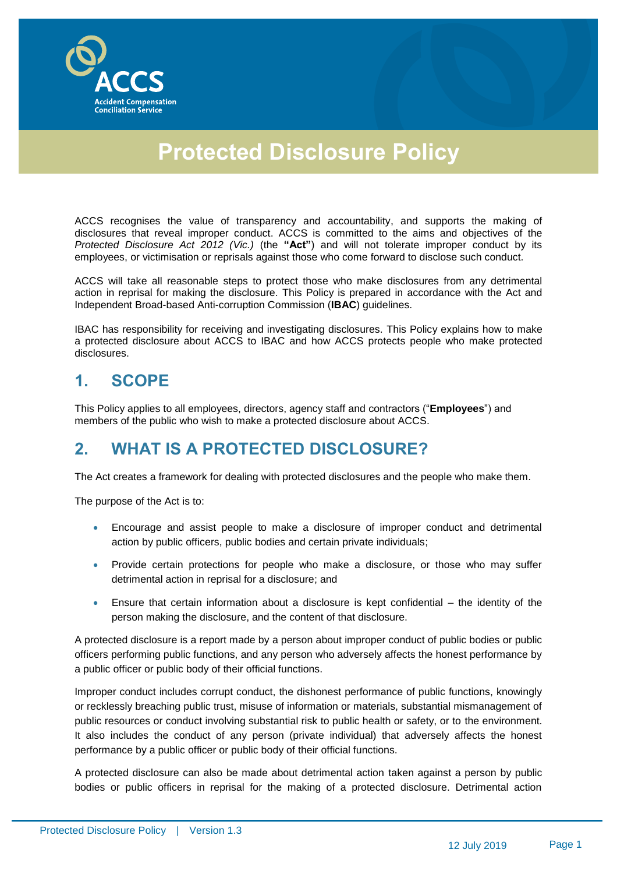

# **Protected Disclosure Policy**

ACCS recognises the value of transparency and accountability, and supports the making of disclosures that reveal improper conduct. ACCS is committed to the aims and objectives of the *Protected Disclosure Act 2012 (Vic.)* (the **"Act"**) and will not tolerate improper conduct by its employees, or victimisation or reprisals against those who come forward to disclose such conduct.

ACCS will take all reasonable steps to protect those who make disclosures from any detrimental action in reprisal for making the disclosure. This Policy is prepared in accordance with the Act and Independent Broad-based Anti-corruption Commission (**IBAC**) guidelines.

IBAC has responsibility for receiving and investigating disclosures. This Policy explains how to make a protected disclosure about ACCS to IBAC and how ACCS protects people who make protected disclosures.

### **1. SCOPE**

This Policy applies to all employees, directors, agency staff and contractors ("**Employees**") and members of the public who wish to make a protected disclosure about ACCS.

### **2. WHAT IS A PROTECTED DISCLOSURE?**

The Act creates a framework for dealing with protected disclosures and the people who make them.

The purpose of the Act is to:

- Encourage and assist people to make a disclosure of improper conduct and detrimental action by public officers, public bodies and certain private individuals;
- Provide certain protections for people who make a disclosure, or those who may suffer detrimental action in reprisal for a disclosure; and
- Ensure that certain information about a disclosure is kept confidential the identity of the person making the disclosure, and the content of that disclosure.

A protected disclosure is a report made by a person about improper conduct of public bodies or public officers performing public functions, and any person who adversely affects the honest performance by a public officer or public body of their official functions.

Improper conduct includes corrupt conduct, the dishonest performance of public functions, knowingly or recklessly breaching public trust, misuse of information or materials, substantial mismanagement of public resources or conduct involving substantial risk to public health or safety, or to the environment. It also includes the conduct of any person (private individual) that adversely affects the honest performance by a public officer or public body of their official functions.

A protected disclosure can also be made about detrimental action taken against a person by public bodies or public officers in reprisal for the making of a protected disclosure. Detrimental action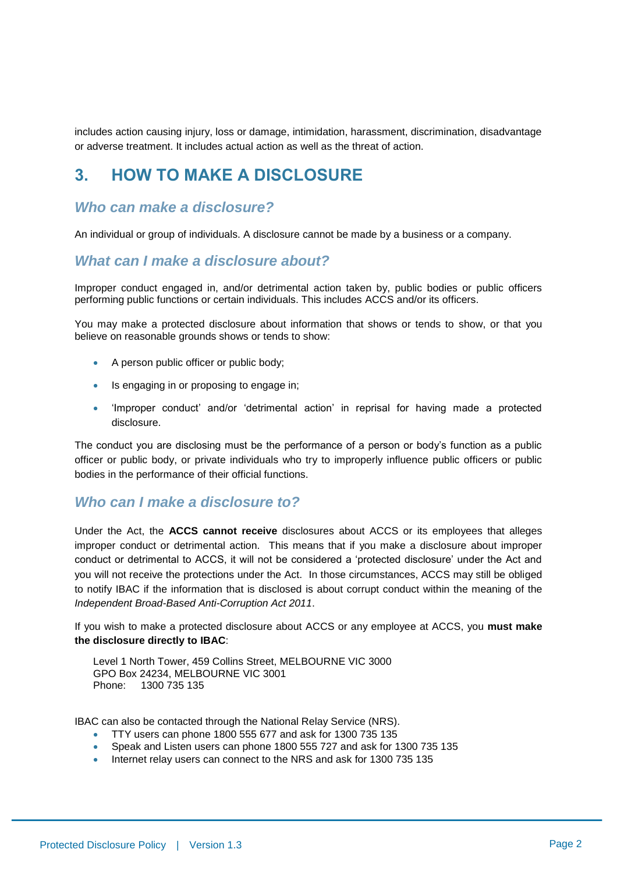includes action causing injury, loss or damage, intimidation, harassment, discrimination, disadvantage or adverse treatment. It includes actual action as well as the threat of action.

#### **3. HOW TO MAKE A DISCLOSURE**

#### *Who can make a disclosure?*

An individual or group of individuals. A disclosure cannot be made by a business or a company.

#### *What can I make a disclosure about?*

Improper conduct engaged in, and/or detrimental action taken by, public bodies or public officers performing public functions or certain individuals. This includes ACCS and/or its officers.

You may make a protected disclosure about information that shows or tends to show, or that you believe on reasonable grounds shows or tends to show:

- A person public officer or public body;
- **IS engaging in or proposing to engage in;**
- 'Improper conduct' and/or 'detrimental action' in reprisal for having made a protected disclosure.

The conduct you are disclosing must be the performance of a person or body's function as a public officer or public body, or private individuals who try to improperly influence public officers or public bodies in the performance of their official functions.

#### *Who can I make a disclosure to?*

Under the Act, the **ACCS cannot receive** disclosures about ACCS or its employees that alleges improper conduct or detrimental action. This means that if you make a disclosure about improper conduct or detrimental to ACCS, it will not be considered a 'protected disclosure' under the Act and you will not receive the protections under the Act. In those circumstances, ACCS may still be obliged to notify IBAC if the information that is disclosed is about corrupt conduct within the meaning of the *Independent Broad-Based Anti-Corruption Act 2011*.

If you wish to make a protected disclosure about ACCS or any employee at ACCS, you **must make the disclosure directly to IBAC**:

Level 1 North Tower, 459 Collins Street, MELBOURNE VIC 3000 GPO Box 24234, MELBOURNE VIC 3001 Phone: 1300 735 135

IBAC can also be contacted through the National Relay Service (NRS).

- TTY users can phone 1800 555 677 and ask for 1300 735 135
- Speak and Listen users can phone 1800 555 727 and ask for 1300 735 135
- Internet relay users can connect to the NRS and ask for 1300 735 135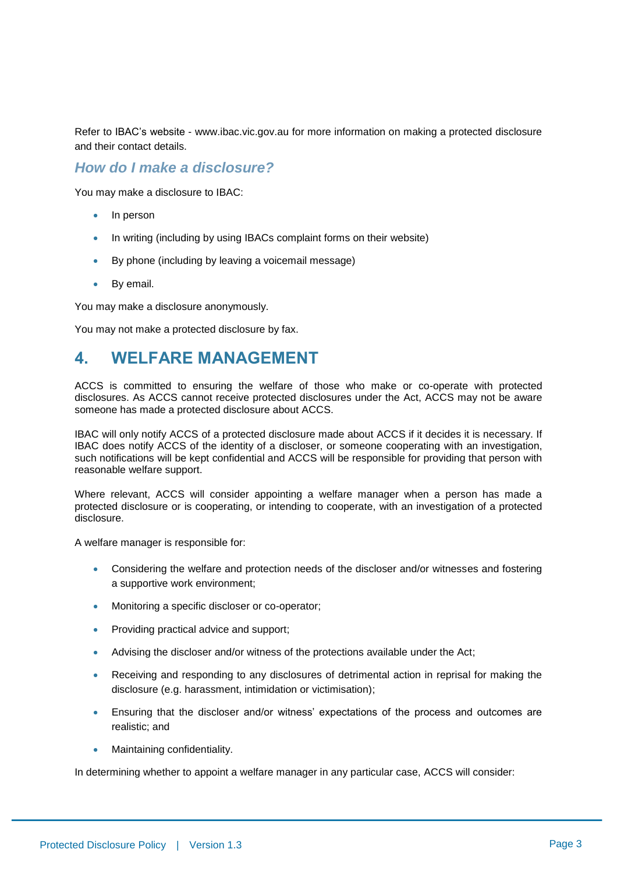Refer to IBAC's website - www.ibac.vic.gov.au for more information on making a protected disclosure and their contact details.

#### *How do I make a disclosure?*

You may make a disclosure to IBAC:

- In person
- In writing (including by using IBACs complaint forms on their website)
- By phone (including by leaving a voicemail message)
- By email.

You may make a disclosure anonymously.

You may not make a protected disclosure by fax.

#### **4. WELFARE MANAGEMENT**

ACCS is committed to ensuring the welfare of those who make or co-operate with protected disclosures. As ACCS cannot receive protected disclosures under the Act, ACCS may not be aware someone has made a protected disclosure about ACCS.

IBAC will only notify ACCS of a protected disclosure made about ACCS if it decides it is necessary. If IBAC does notify ACCS of the identity of a discloser, or someone cooperating with an investigation, such notifications will be kept confidential and ACCS will be responsible for providing that person with reasonable welfare support.

Where relevant, ACCS will consider appointing a welfare manager when a person has made a protected disclosure or is cooperating, or intending to cooperate, with an investigation of a protected disclosure.

A welfare manager is responsible for:

- Considering the welfare and protection needs of the discloser and/or witnesses and fostering a supportive work environment;
- Monitoring a specific discloser or co-operator;
- Providing practical advice and support;
- Advising the discloser and/or witness of the protections available under the Act;
- Receiving and responding to any disclosures of detrimental action in reprisal for making the disclosure (e.g. harassment, intimidation or victimisation);
- Ensuring that the discloser and/or witness' expectations of the process and outcomes are realistic; and
- Maintaining confidentiality.

In determining whether to appoint a welfare manager in any particular case, ACCS will consider: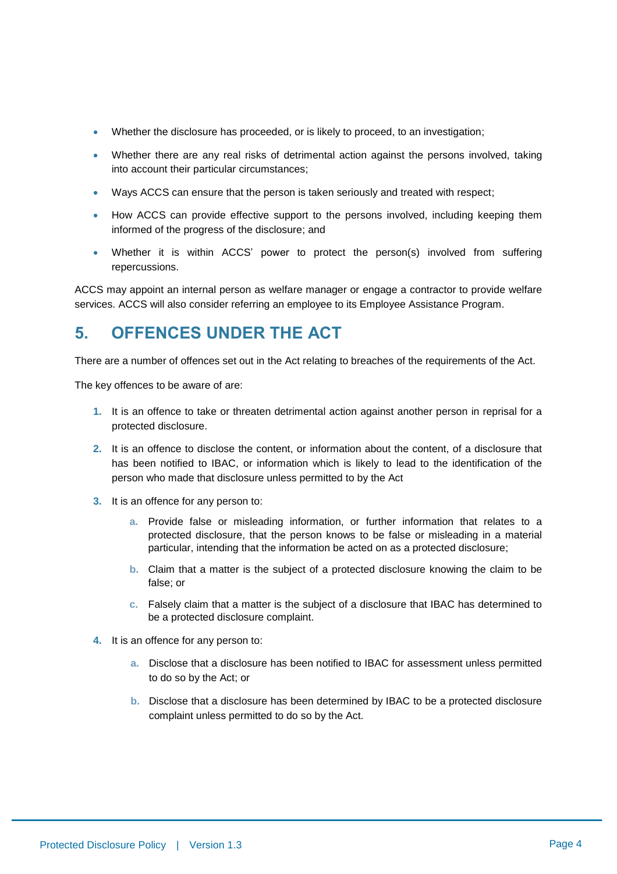- Whether the disclosure has proceeded, or is likely to proceed, to an investigation;
- Whether there are any real risks of detrimental action against the persons involved, taking into account their particular circumstances;
- Ways ACCS can ensure that the person is taken seriously and treated with respect;
- How ACCS can provide effective support to the persons involved, including keeping them informed of the progress of the disclosure; and
- Whether it is within ACCS' power to protect the person(s) involved from suffering repercussions.

ACCS may appoint an internal person as welfare manager or engage a contractor to provide welfare services. ACCS will also consider referring an employee to its Employee Assistance Program.

### **5. OFFENCES UNDER THE ACT**

There are a number of offences set out in the Act relating to breaches of the requirements of the Act.

The key offences to be aware of are:

- **1.** It is an offence to take or threaten detrimental action against another person in reprisal for a protected disclosure.
- **2.** It is an offence to disclose the content, or information about the content, of a disclosure that has been notified to IBAC, or information which is likely to lead to the identification of the person who made that disclosure unless permitted to by the Act
- **3.** It is an offence for any person to:
	- **a.** Provide false or misleading information, or further information that relates to a protected disclosure, that the person knows to be false or misleading in a material particular, intending that the information be acted on as a protected disclosure;
	- **b.** Claim that a matter is the subject of a protected disclosure knowing the claim to be false; or
	- **c.** Falsely claim that a matter is the subject of a disclosure that IBAC has determined to be a protected disclosure complaint.
- **4.** It is an offence for any person to:
	- **a.** Disclose that a disclosure has been notified to IBAC for assessment unless permitted to do so by the Act; or
	- **b.** Disclose that a disclosure has been determined by IBAC to be a protected disclosure complaint unless permitted to do so by the Act.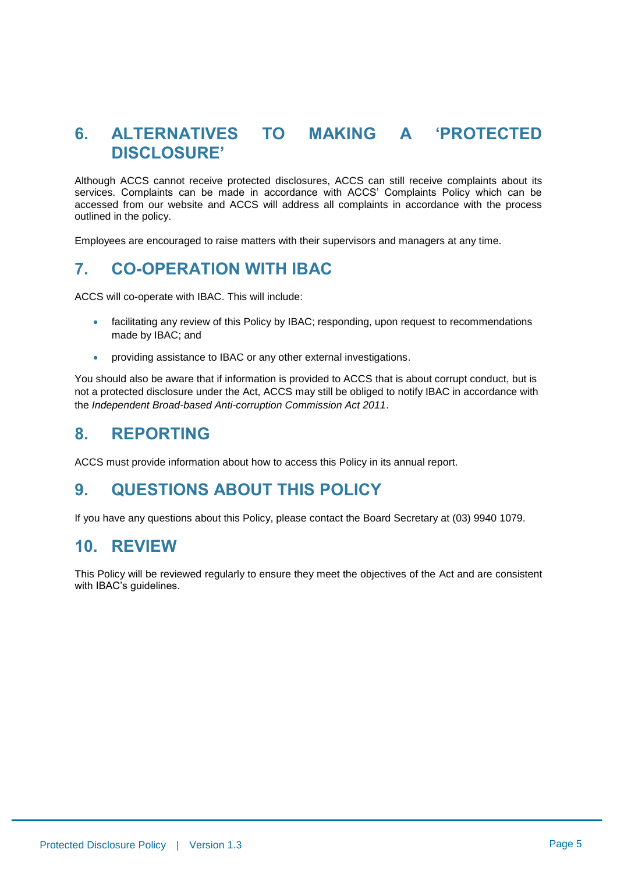### **6. ALTERNATIVES TO MAKING A 'PROTECTED DISCLOSURE'**

Although ACCS cannot receive protected disclosures, ACCS can still receive complaints about its services. Complaints can be made in accordance with ACCS' Complaints Policy which can be accessed from our website and ACCS will address all complaints in accordance with the process outlined in the policy.

Employees are encouraged to raise matters with their supervisors and managers at any time.

## **7. CO-OPERATION WITH IBAC**

ACCS will co-operate with IBAC. This will include:

- facilitating any review of this Policy by IBAC; responding, upon request to recommendations made by IBAC; and
- providing assistance to IBAC or any other external investigations.

You should also be aware that if information is provided to ACCS that is about corrupt conduct, but is not a protected disclosure under the Act, ACCS may still be obliged to notify IBAC in accordance with the *Independent Broad-based Anti-corruption Commission Act 2011*.

#### **8. REPORTING**

ACCS must provide information about how to access this Policy in its annual report.

#### **9. QUESTIONS ABOUT THIS POLICY**

If you have any questions about this Policy, please contact the Board Secretary at (03) 9940 1079.

#### **10. REVIEW**

This Policy will be reviewed regularly to ensure they meet the objectives of the Act and are consistent with IBAC's guidelines.